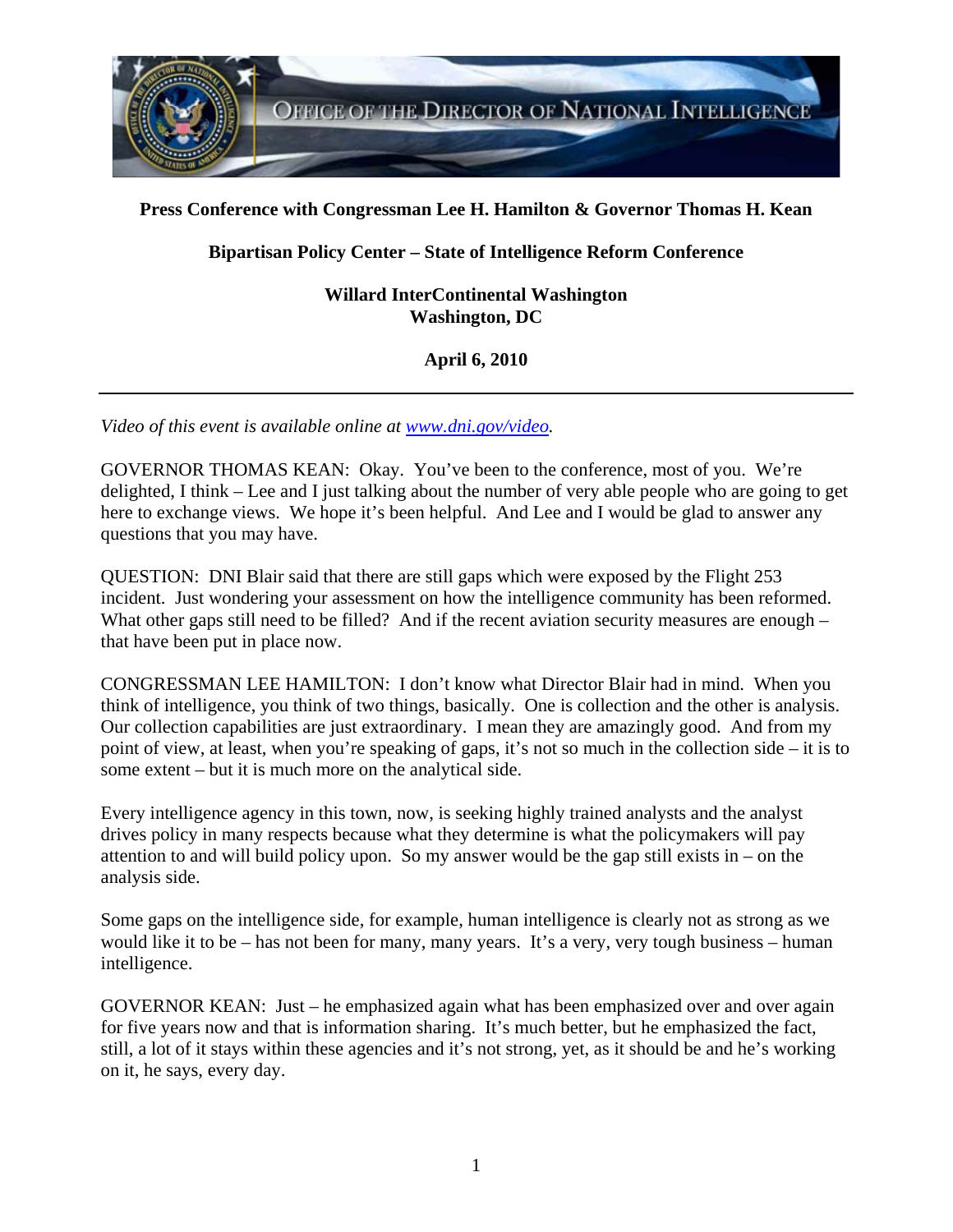

## **Press Conference with Congressman Lee H. Hamilton & Governor Thomas H. Kean**

## **Bipartisan Policy Center – State of Intelligence Reform Conference**

**Willard InterContinental Washington Washington, DC** 

**April 6, 2010** 

*Video of this event is available online at www.dni.gov/video.* 

GOVERNOR THOMAS KEAN: Okay. You've been to the conference, most of you. We're delighted, I think – Lee and I just talking about the number of very able people who are going to get here to exchange views. We hope it's been helpful. And Lee and I would be glad to answer any questions that you may have.

QUESTION: DNI Blair said that there are still gaps which were exposed by the Flight 253 incident. Just wondering your assessment on how the intelligence community has been reformed. What other gaps still need to be filled? And if the recent aviation security measures are enough – that have been put in place now.

CONGRESSMAN LEE HAMILTON: I don't know what Director Blair had in mind. When you think of intelligence, you think of two things, basically. One is collection and the other is analysis. Our collection capabilities are just extraordinary. I mean they are amazingly good. And from my point of view, at least, when you're speaking of gaps, it's not so much in the collection side – it is to some extent – but it is much more on the analytical side.

Every intelligence agency in this town, now, is seeking highly trained analysts and the analyst drives policy in many respects because what they determine is what the policymakers will pay attention to and will build policy upon. So my answer would be the gap still exists in – on the analysis side.

Some gaps on the intelligence side, for example, human intelligence is clearly not as strong as we would like it to be – has not been for many, many years. It's a very, very tough business – human intelligence.

GOVERNOR KEAN: Just – he emphasized again what has been emphasized over and over again for five years now and that is information sharing. It's much better, but he emphasized the fact, still, a lot of it stays within these agencies and it's not strong, yet, as it should be and he's working on it, he says, every day.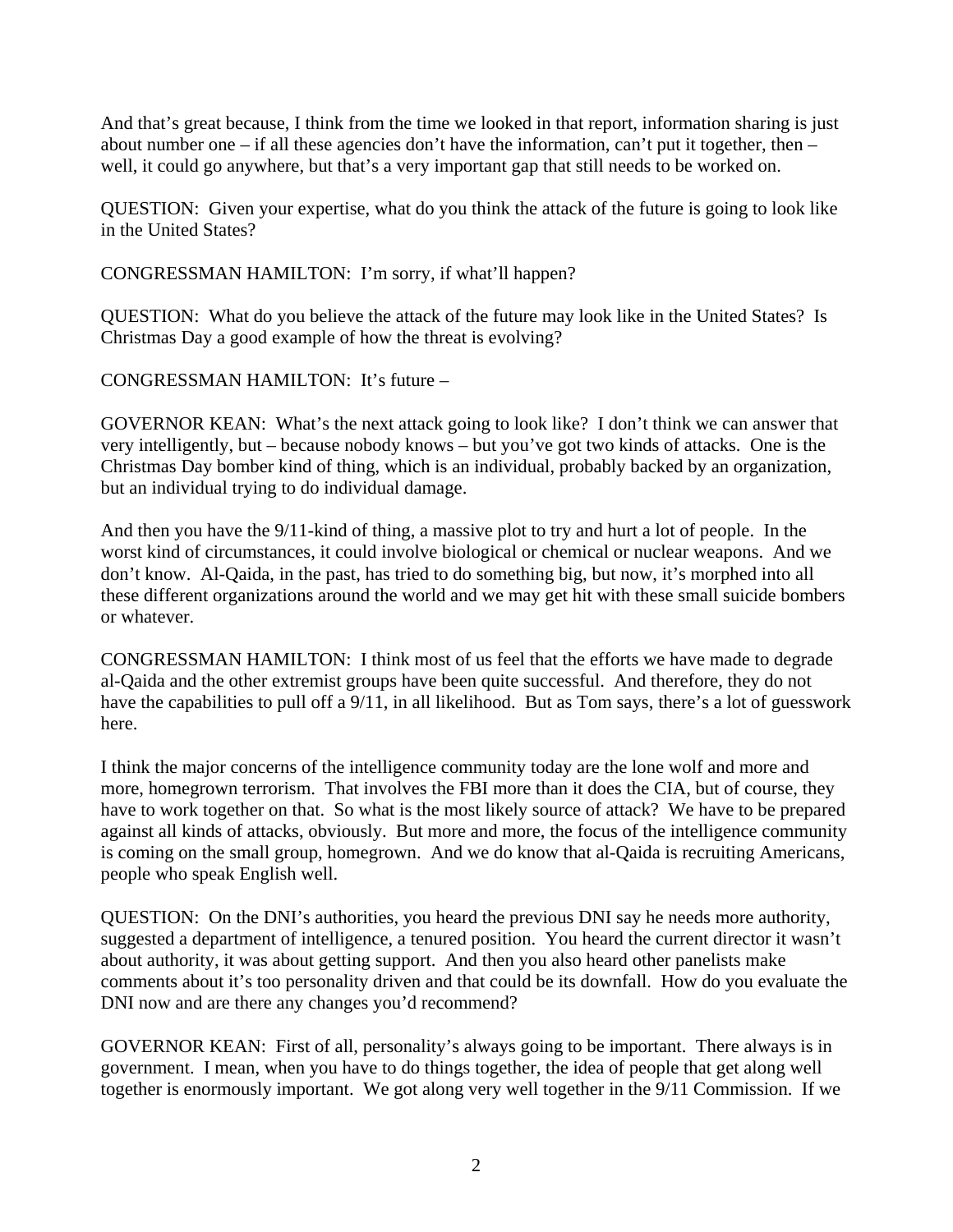And that's great because, I think from the time we looked in that report, information sharing is just about number one – if all these agencies don't have the information, can't put it together, then – well, it could go anywhere, but that's a very important gap that still needs to be worked on.

QUESTION: Given your expertise, what do you think the attack of the future is going to look like in the United States?

CONGRESSMAN HAMILTON: I'm sorry, if what'll happen?

QUESTION: What do you believe the attack of the future may look like in the United States? Is Christmas Day a good example of how the threat is evolving?

CONGRESSMAN HAMILTON: It's future –

GOVERNOR KEAN: What's the next attack going to look like? I don't think we can answer that very intelligently, but – because nobody knows – but you've got two kinds of attacks. One is the Christmas Day bomber kind of thing, which is an individual, probably backed by an organization, but an individual trying to do individual damage.

And then you have the 9/11-kind of thing, a massive plot to try and hurt a lot of people. In the worst kind of circumstances, it could involve biological or chemical or nuclear weapons. And we don't know. Al-Qaida, in the past, has tried to do something big, but now, it's morphed into all these different organizations around the world and we may get hit with these small suicide bombers or whatever.

CONGRESSMAN HAMILTON: I think most of us feel that the efforts we have made to degrade al-Qaida and the other extremist groups have been quite successful. And therefore, they do not have the capabilities to pull off a 9/11, in all likelihood. But as Tom says, there's a lot of guesswork here.

I think the major concerns of the intelligence community today are the lone wolf and more and more, homegrown terrorism. That involves the FBI more than it does the CIA, but of course, they have to work together on that. So what is the most likely source of attack? We have to be prepared against all kinds of attacks, obviously. But more and more, the focus of the intelligence community is coming on the small group, homegrown. And we do know that al-Qaida is recruiting Americans, people who speak English well.

QUESTION: On the DNI's authorities, you heard the previous DNI say he needs more authority, suggested a department of intelligence, a tenured position. You heard the current director it wasn't about authority, it was about getting support. And then you also heard other panelists make comments about it's too personality driven and that could be its downfall. How do you evaluate the DNI now and are there any changes you'd recommend?

GOVERNOR KEAN: First of all, personality's always going to be important. There always is in government. I mean, when you have to do things together, the idea of people that get along well together is enormously important. We got along very well together in the 9/11 Commission. If we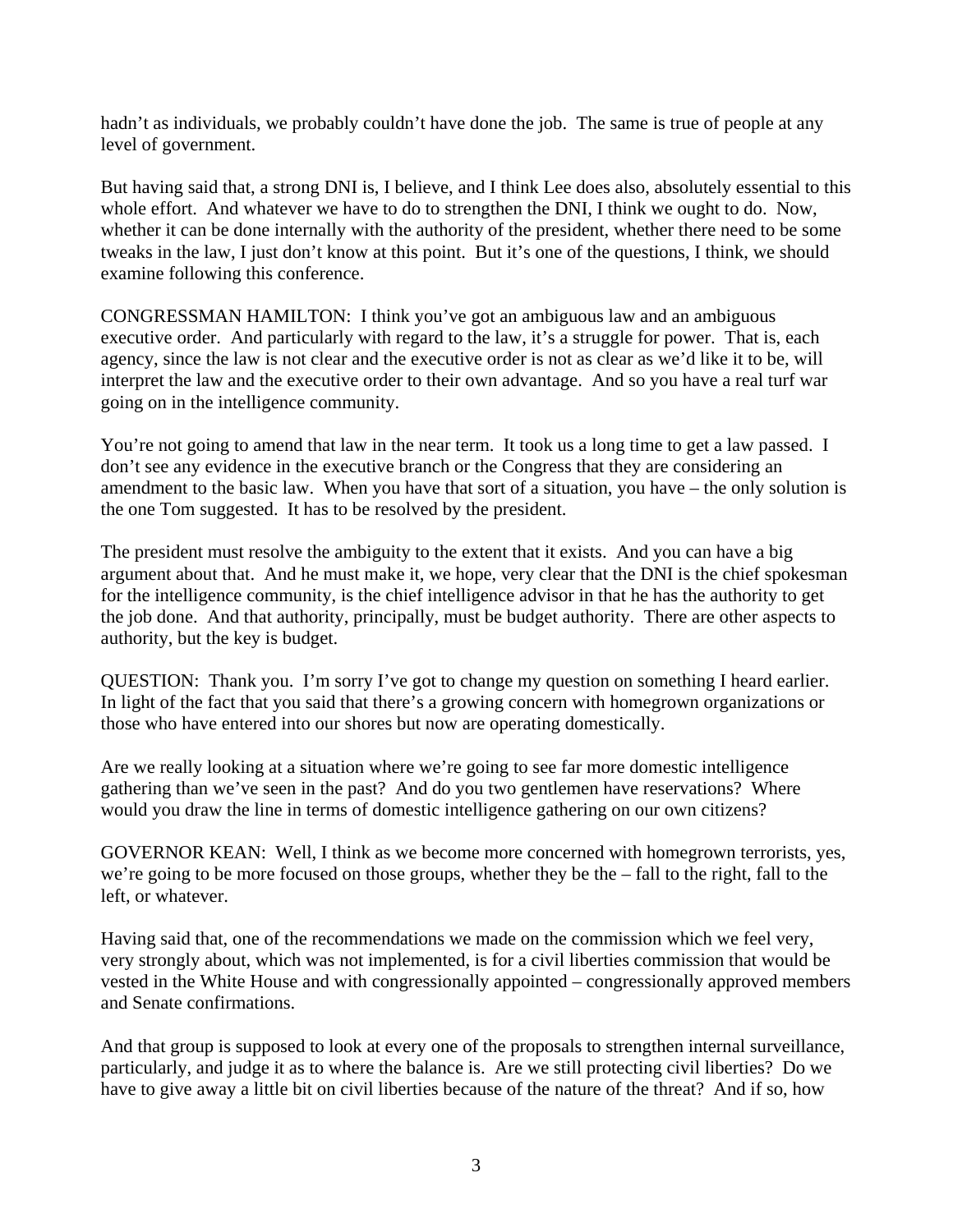hadn't as individuals, we probably couldn't have done the job. The same is true of people at any level of government.

But having said that, a strong DNI is, I believe, and I think Lee does also, absolutely essential to this whole effort. And whatever we have to do to strengthen the DNI, I think we ought to do. Now, whether it can be done internally with the authority of the president, whether there need to be some tweaks in the law, I just don't know at this point. But it's one of the questions, I think, we should examine following this conference.

CONGRESSMAN HAMILTON: I think you've got an ambiguous law and an ambiguous executive order. And particularly with regard to the law, it's a struggle for power. That is, each agency, since the law is not clear and the executive order is not as clear as we'd like it to be, will interpret the law and the executive order to their own advantage. And so you have a real turf war going on in the intelligence community.

You're not going to amend that law in the near term. It took us a long time to get a law passed. I don't see any evidence in the executive branch or the Congress that they are considering an amendment to the basic law. When you have that sort of a situation, you have – the only solution is the one Tom suggested. It has to be resolved by the president.

The president must resolve the ambiguity to the extent that it exists. And you can have a big argument about that. And he must make it, we hope, very clear that the DNI is the chief spokesman for the intelligence community, is the chief intelligence advisor in that he has the authority to get the job done. And that authority, principally, must be budget authority. There are other aspects to authority, but the key is budget.

QUESTION: Thank you. I'm sorry I've got to change my question on something I heard earlier. In light of the fact that you said that there's a growing concern with homegrown organizations or those who have entered into our shores but now are operating domestically.

Are we really looking at a situation where we're going to see far more domestic intelligence gathering than we've seen in the past? And do you two gentlemen have reservations? Where would you draw the line in terms of domestic intelligence gathering on our own citizens?

GOVERNOR KEAN: Well, I think as we become more concerned with homegrown terrorists, yes, we're going to be more focused on those groups, whether they be the – fall to the right, fall to the left, or whatever.

Having said that, one of the recommendations we made on the commission which we feel very, very strongly about, which was not implemented, is for a civil liberties commission that would be vested in the White House and with congressionally appointed – congressionally approved members and Senate confirmations.

And that group is supposed to look at every one of the proposals to strengthen internal surveillance, particularly, and judge it as to where the balance is. Are we still protecting civil liberties? Do we have to give away a little bit on civil liberties because of the nature of the threat? And if so, how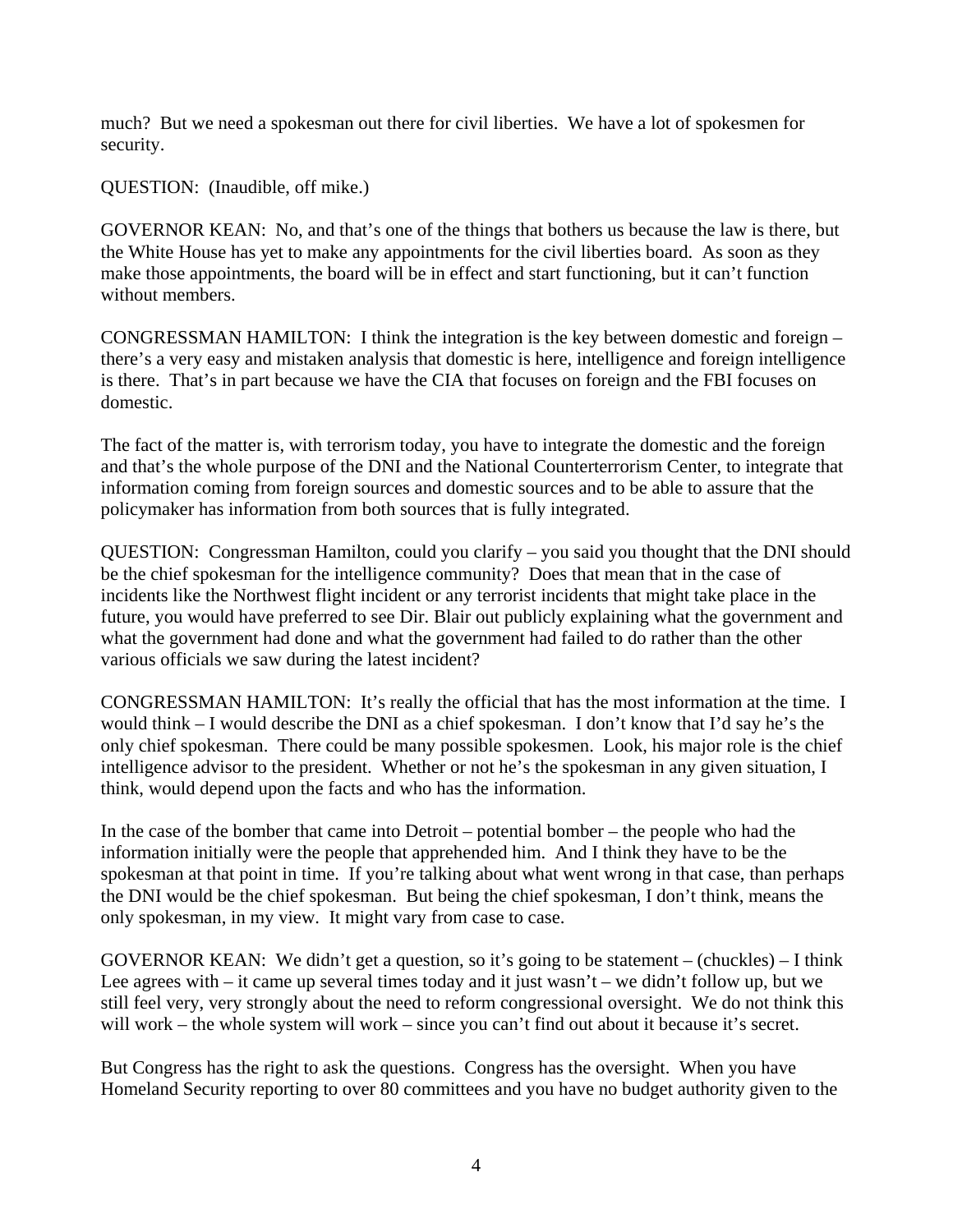much? But we need a spokesman out there for civil liberties. We have a lot of spokesmen for security.

QUESTION: (Inaudible, off mike.)

GOVERNOR KEAN: No, and that's one of the things that bothers us because the law is there, but the White House has yet to make any appointments for the civil liberties board. As soon as they make those appointments, the board will be in effect and start functioning, but it can't function without members.

CONGRESSMAN HAMILTON: I think the integration is the key between domestic and foreign – there's a very easy and mistaken analysis that domestic is here, intelligence and foreign intelligence is there. That's in part because we have the CIA that focuses on foreign and the FBI focuses on domestic.

The fact of the matter is, with terrorism today, you have to integrate the domestic and the foreign and that's the whole purpose of the DNI and the National Counterterrorism Center, to integrate that information coming from foreign sources and domestic sources and to be able to assure that the policymaker has information from both sources that is fully integrated.

QUESTION: Congressman Hamilton, could you clarify – you said you thought that the DNI should be the chief spokesman for the intelligence community? Does that mean that in the case of incidents like the Northwest flight incident or any terrorist incidents that might take place in the future, you would have preferred to see Dir. Blair out publicly explaining what the government and what the government had done and what the government had failed to do rather than the other various officials we saw during the latest incident?

CONGRESSMAN HAMILTON: It's really the official that has the most information at the time. I would think – I would describe the DNI as a chief spokesman. I don't know that I'd say he's the only chief spokesman. There could be many possible spokesmen. Look, his major role is the chief intelligence advisor to the president. Whether or not he's the spokesman in any given situation, I think, would depend upon the facts and who has the information.

In the case of the bomber that came into Detroit – potential bomber – the people who had the information initially were the people that apprehended him. And I think they have to be the spokesman at that point in time. If you're talking about what went wrong in that case, than perhaps the DNI would be the chief spokesman. But being the chief spokesman, I don't think, means the only spokesman, in my view. It might vary from case to case.

GOVERNOR KEAN: We didn't get a question, so it's going to be statement – (chuckles) – I think Lee agrees with – it came up several times today and it just wasn't – we didn't follow up, but we still feel very, very strongly about the need to reform congressional oversight. We do not think this will work – the whole system will work – since you can't find out about it because it's secret.

But Congress has the right to ask the questions. Congress has the oversight. When you have Homeland Security reporting to over 80 committees and you have no budget authority given to the